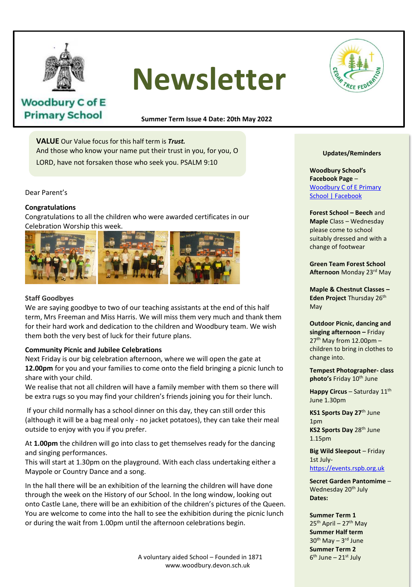

# **Newsletter**



# **Woodbury C of E Primary School**

**Summer Term Issue 4 Date: 20th May 2022**

**VALUE** Our Value focus for this half term is *Trust.* And those who know your name put their trust in you, for you, O LORD, have not forsaken those who seek you. PSALM 9:10

Dear Parent's

## **Congratulations**

Congratulations to all the children who were awarded certificates in our Celebration Worship this week.



# **Staff Goodbyes**

We are saying goodbye to two of our teaching assistants at the end of this half we are saying goodbye to two of our teaching assistants at the end of this haif<br>term, Mrs Freeman and Miss Harris. We will miss them very much and thank them for their hard work and dedication to the children and Woodbury team. We wish them both the very best of luck for their future plans.

# **Community Picnic and Jubilee Celebrations**

Next Friday is our big celebration afternoon, where we will open the gate at 12.00pm for you and your families to come onto the field bringing a picnic lunch to share with your child.

We realise that not all children will have a family member with them so there will be extra rugs so you may find your children's friends joining you for their lunch.

If your child normally has a school dinner on this day, they can still order this (although it will be a bag meal only - no jacket potatoes), they can take their meal outside to enjoy with you if you prefer.

At **1.00pm** the children will go into class to get themselves ready for the dancing and singing performances.

This will start at 1.30pm on the playground. With each class undertaking either a Maypole or Country Dance and a song.

In the hall there will be an exhibition of the learning the children will have done through the week on the History of our School. In the long window, looking out onto Castle Lane, there will be an exhibition of the children's pictures of the Queen. You are welcome to come into the hall to see the exhibition during the picnic lunch or during the wait from 1.00pm until the afternoon celebrations begin.

> A voluntary aided School – Founded in 1871 www.woodbury.devon.sch.uk

#### **Updates/Reminders**

**Woodbury School's Facebook Page** – Woodbury C of E Primary School | Facebook

**Forest School – Beech** and **Maple** Class – Wednesday please come to school suitably dressed and with a change of footwear

**Green Team Forest School Afternoon** Monday 23rd May

**Maple & Chestnut Classes – Eden Project Thursday 26th** May

**Outdoor Picnic, dancing and singing afternoon –** Friday  $27<sup>th</sup>$  May from 12.00pm children to bring in clothes to change into.

**Tempest Photographer- class photo's Friday 10<sup>th</sup> June** 

**Happy Circus – Saturday 11th** June 1.30pm

**KS1 Sports Day 27**th June 1pm **KS2 Sports Day 28th June** 1.15pm

**Big Wild Sleepout** – Friday 1st Julyhttps://events.rspb.org.uk

**Secret Garden Pantomime** – Wednesday 20<sup>th</sup> July **Dates:**

**Summer Term 1**  $25<sup>th</sup>$  April – 27<sup>th</sup> May **Summer Half term** 30<sup>th</sup> May - 3<sup>rd</sup> June **Summer Term 2** 6<sup>th</sup> June – 21<sup>st</sup> July